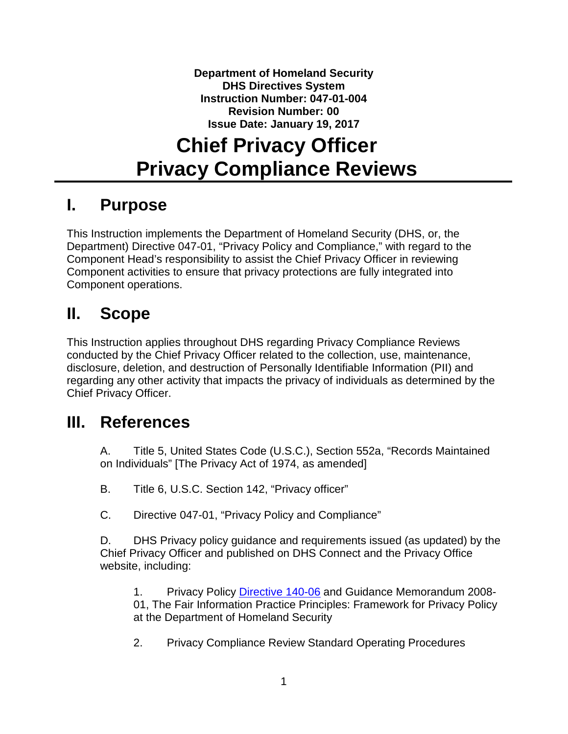**Department of Homeland Security DHS Directives System Instruction Number: 047-01-004 Revision Number: 00 Issue Date: January 19, 2017**

# **Chief Privacy Officer Privacy Compliance Reviews**

### **I. Purpose**

This Instruction implements the Department of Homeland Security (DHS, or, the Department) Directive 047-01, "Privacy Policy and Compliance," with regard to the Component Head's responsibility to assist the Chief Privacy Officer in reviewing Component activities to ensure that privacy protections are fully integrated into Component operations.

## **II. Scope**

This Instruction applies throughout DHS regarding Privacy Compliance Reviews conducted by the Chief Privacy Officer related to the collection, use, maintenance, disclosure, deletion, and destruction of Personally Identifiable Information (PII) and regarding any other activity that impacts the privacy of individuals as determined by the Chief Privacy Officer.

### **III. References**

A. Title 5, United States Code (U.S.C.), Section 552a, "Records Maintained on Individuals" [The Privacy Act of 1974, as amended]

- B. Title 6, U.S.C. Section 142, "Privacy officer"
- C. Directive 047-01, "Privacy Policy and Compliance"

D. DHS Privacy policy guidance and requirements issued (as updated) by the Chief Privacy Officer and published on DHS Connect and the Privacy Office website, including:

1. Privacy Policy [Directive 140-06](https://www.dhs.gov/publication/privacy-policy-guidance-memorandum-2008-01-fair-information-practice-principles) and Guidance Memorandum 2008- 01, The Fair Information Practice Principles: Framework for Privacy Policy at the Department of Homeland Security

2. Privacy Compliance Review Standard Operating Procedures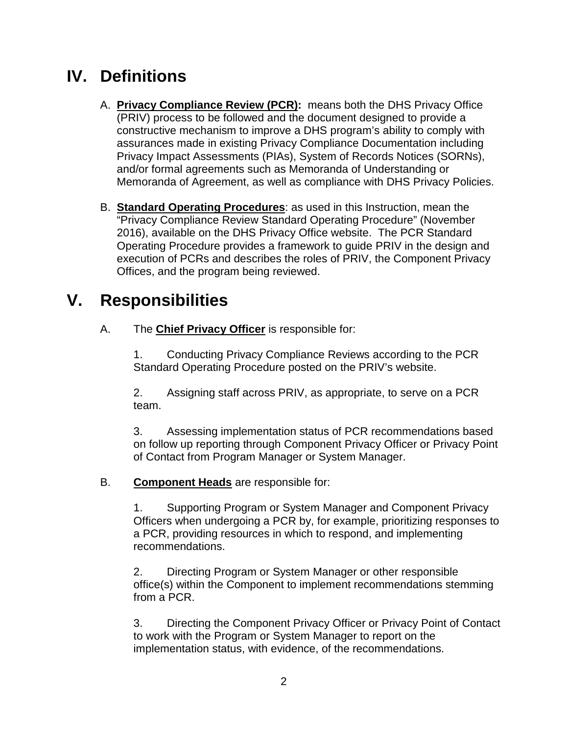# **IV. Definitions**

- A. **Privacy Compliance Review (PCR):** means both the DHS Privacy Office (PRIV) process to be followed and the document designed to provide a constructive mechanism to improve a DHS program's ability to comply with assurances made in existing Privacy Compliance Documentation including Privacy Impact Assessments (PIAs), System of Records Notices (SORNs), and/or formal agreements such as Memoranda of Understanding or Memoranda of Agreement, as well as compliance with DHS Privacy Policies.
- B. **Standard Operating Procedures**: as used in this Instruction, mean the "Privacy Compliance Review Standard Operating Procedure" (November 2016), available on the DHS Privacy Office website. The PCR Standard Operating Procedure provides a framework to guide PRIV in the design and execution of PCRs and describes the roles of PRIV, the Component Privacy Offices, and the program being reviewed.

# **V. Responsibilities**

A. The **Chief Privacy Officer** is responsible for:

1. Conducting Privacy Compliance Reviews according to the PCR Standard Operating Procedure posted on the PRIV's website.

2. Assigning staff across PRIV, as appropriate, to serve on a PCR team.

3. Assessing implementation status of PCR recommendations based on follow up reporting through Component Privacy Officer or Privacy Point of Contact from Program Manager or System Manager.

B. **Component Heads** are responsible for:

1. Supporting Program or System Manager and Component Privacy Officers when undergoing a PCR by, for example, prioritizing responses to a PCR, providing resources in which to respond, and implementing recommendations.

2. Directing Program or System Manager or other responsible office(s) within the Component to implement recommendations stemming from a PCR.

3. Directing the Component Privacy Officer or Privacy Point of Contact to work with the Program or System Manager to report on the implementation status, with evidence, of the recommendations.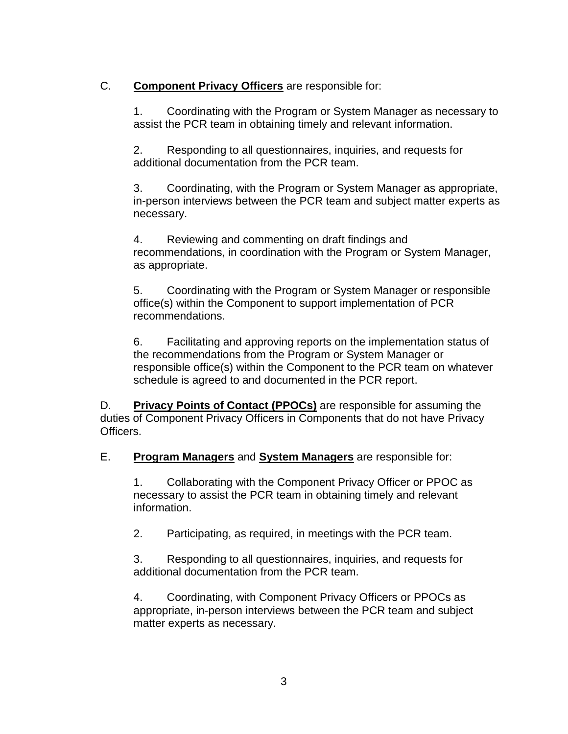#### C. **Component Privacy Officers** are responsible for:

1. Coordinating with the Program or System Manager as necessary to assist the PCR team in obtaining timely and relevant information.

2. Responding to all questionnaires, inquiries, and requests for additional documentation from the PCR team.

3. Coordinating, with the Program or System Manager as appropriate, in-person interviews between the PCR team and subject matter experts as necessary.

4. Reviewing and commenting on draft findings and recommendations, in coordination with the Program or System Manager, as appropriate.

5. Coordinating with the Program or System Manager or responsible office(s) within the Component to support implementation of PCR recommendations.

6. Facilitating and approving reports on the implementation status of the recommendations from the Program or System Manager or responsible office(s) within the Component to the PCR team on whatever schedule is agreed to and documented in the PCR report.

D. **Privacy Points of Contact (PPOCs)** are responsible for assuming the duties of Component Privacy Officers in Components that do not have Privacy Officers.

E. **Program Managers** and **System Managers** are responsible for:

1. Collaborating with the Component Privacy Officer or PPOC as necessary to assist the PCR team in obtaining timely and relevant information.

2. Participating, as required, in meetings with the PCR team.

3. Responding to all questionnaires, inquiries, and requests for additional documentation from the PCR team.

4. Coordinating, with Component Privacy Officers or PPOCs as appropriate, in-person interviews between the PCR team and subject matter experts as necessary.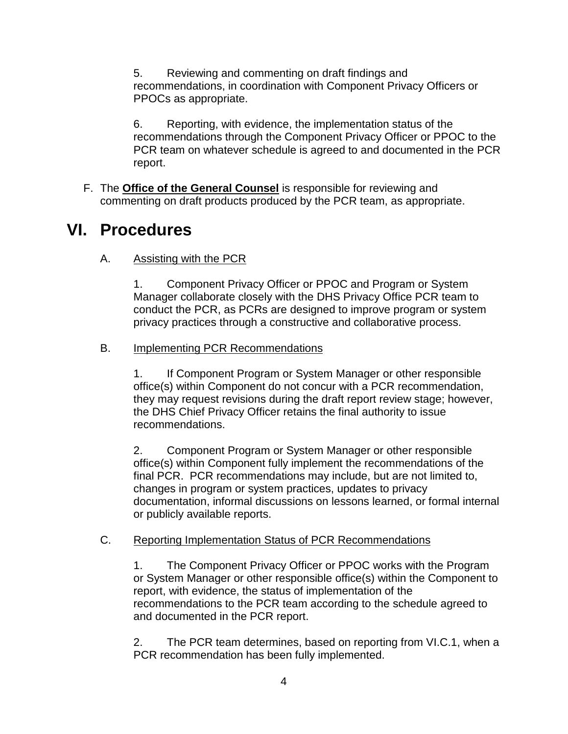5. Reviewing and commenting on draft findings and recommendations, in coordination with Component Privacy Officers or PPOCs as appropriate.

6. Reporting, with evidence, the implementation status of the recommendations through the Component Privacy Officer or PPOC to the PCR team on whatever schedule is agreed to and documented in the PCR report.

F. The **Office of the General Counsel** is responsible for reviewing and commenting on draft products produced by the PCR team, as appropriate.

### **VI. Procedures**

A. Assisting with the PCR

1. Component Privacy Officer or PPOC and Program or System Manager collaborate closely with the DHS Privacy Office PCR team to conduct the PCR, as PCRs are designed to improve program or system privacy practices through a constructive and collaborative process.

#### B. Implementing PCR Recommendations

1. If Component Program or System Manager or other responsible office(s) within Component do not concur with a PCR recommendation, they may request revisions during the draft report review stage; however, the DHS Chief Privacy Officer retains the final authority to issue recommendations.

2. Component Program or System Manager or other responsible office(s) within Component fully implement the recommendations of the final PCR. PCR recommendations may include, but are not limited to, changes in program or system practices, updates to privacy documentation, informal discussions on lessons learned, or formal internal or publicly available reports.

#### C. Reporting Implementation Status of PCR Recommendations

1. The Component Privacy Officer or PPOC works with the Program or System Manager or other responsible office(s) within the Component to report, with evidence, the status of implementation of the recommendations to the PCR team according to the schedule agreed to and documented in the PCR report.

2. The PCR team determines, based on reporting from VI.C.1, when a PCR recommendation has been fully implemented.